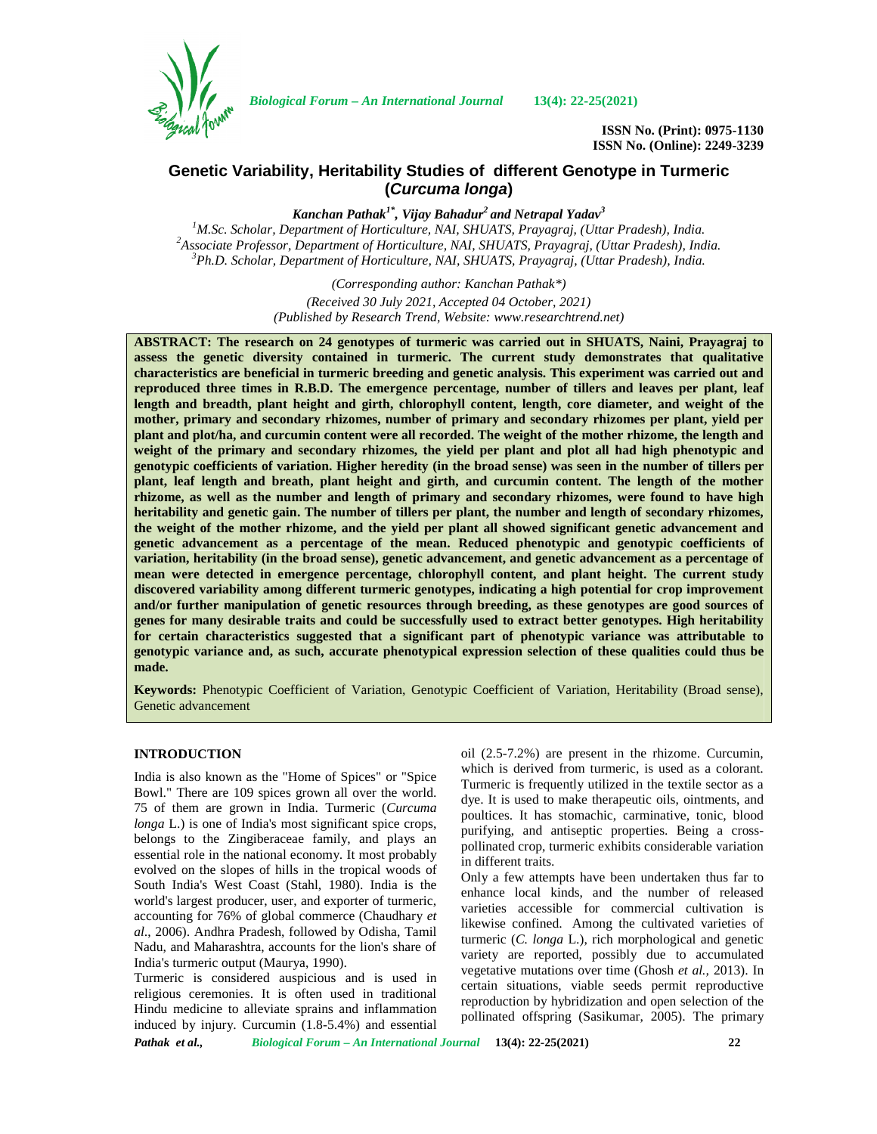

*Biological Forum – An International Journal* **13(4): 22-25(2021)**

**ISSN No. (Print): 0975-1130 ISSN No. (Online): 2249-3239**

# **Genetic Variability, Heritability Studies of different Genotype in Turmeric (***Curcuma longa***)**

*Kanchan Pathak1\*, Vijay Bahadur<sup>2</sup> and Netrapal Yadav<sup>3</sup>* <sup>2</sup>Associate Professor, Department of Horticulture, NAI, SHUATS, Prayagraj, (Uttar Pradesh), India.<br><sup>3</sup>Ph.D. Scholar, Department of Horticulture, NAI, SHUATS, Prayagraj, (Uttar Pradesh), India.

> *(Corresponding author: Kanchan Pathak\*) (Received 30 July 2021, Accepted 04 October, 2021) (Published by Research Trend, Website: [www.researchtrend.net\)](www.researchtrend.net)*

**ABSTRACT: The research on 24 genotypes of turmeric was carried out in SHUATS, Naini, Prayagraj to assess the genetic diversity contained in turmeric. The current study demonstrates that qualitative characteristics are beneficial in turmeric breeding and genetic analysis. This experiment was carried out and reproduced three times in R.B.D. The emergence percentage, number of tillers and leaves per plant, leaf length and breadth, plant height and girth, chlorophyll content, length, core diameter, and weight of the mother, primary and secondary rhizomes, number of primary and secondary rhizomes per plant, yield per plant and plot/ha, and curcumin content were all recorded. The weight of the mother rhizome, the length and weight of the primary and secondary rhizomes, the yield per plant and plot all had high phenotypic and genotypic coefficients of variation. Higher heredity (in the broad sense) was seen in the number of tillers per plant, leaf length and breath, plant height and girth, and curcumin content. The length of the mother rhizome, as well as the number and length of primary and secondary rhizomes, were found to have high heritability and genetic gain. The number of tillers per plant, the number and length of secondary rhizomes, the weight of the mother rhizome, and the yield per plant all showed significant genetic advancement and genetic advancement as a percentage of the mean. Reduced phenotypic and genotypic coefficients of variation, heritability (in the broad sense), genetic advancement, and genetic advancement as a percentage of mean were detected in emergence percentage, chlorophyll content, and plant height. The current study discovered variability among different turmeric genotypes, indicating a high potential for crop improvement and/or further manipulation of genetic resources through breeding, as these genotypes are good sources of genes for many desirable traits and could be successfully used to extract better genotypes. High heritability for certain characteristics suggested that a significant part of phenotypic variance was attributable to genotypic variance and, as such, accurate phenotypical expression selection of these qualities could thus be made.**

**Keywords:** Phenotypic Coefficient of Variation, Genotypic Coefficient of Variation, Heritability (Broad sense), Genetic advancement

### **INTRODUCTION**

India is also known as the "Home of Spices" or "Spice Bowl." There are 109 spices grown all over the world. 75 of them are grown in India. Turmeric (*Curcuma longa* L.) is one of India's most significant spice crops, belongs to the Zingiberaceae family, and plays an essential role in the national economy. It most probably evolved on the slopes of hills in the tropical woods of South India's West Coast (Stahl, 1980). India is the world's largest producer, user, and exporter of turmeric, accounting for 76% of global commerce (Chaudhary *et al*., 2006). Andhra Pradesh, followed by Odisha, Tamil Nadu, and Maharashtra, accounts for the lion's share of India's turmeric output (Maurya, 1990).

Turmeric is considered auspicious and is used in religious ceremonies. It is often used in traditional Hindu medicine to alleviate sprains and inflammation induced by injury. Curcumin (1.8-5.4%) and essential oil (2.5-7.2%) are present in the rhizome. Curcumin, which is derived from turmeric, is used as a colorant. Turmeric is frequently utilized in the textile sector as a dye. It is used to make therapeutic oils, ointments, and poultices. It has stomachic, carminative, tonic, blood purifying, and antiseptic properties. Being a cross pollinated crop, turmeric exhibits considerable variation in different traits.

Only a few attempts have been undertaken thus far to enhance local kinds, and the number of released varieties accessible for commercial cultivation is likewise confined. Among the cultivated varieties of turmeric (*C. longa* L.), rich morphological and genetic variety are reported, possibly due to accumulated vegetative mutations over time (Ghosh *et al.,* 2013). In certain situations, viable seeds permit reproductive reproduction by hybridization and open selection of the pollinated offspring (Sasikumar, 2005). The primary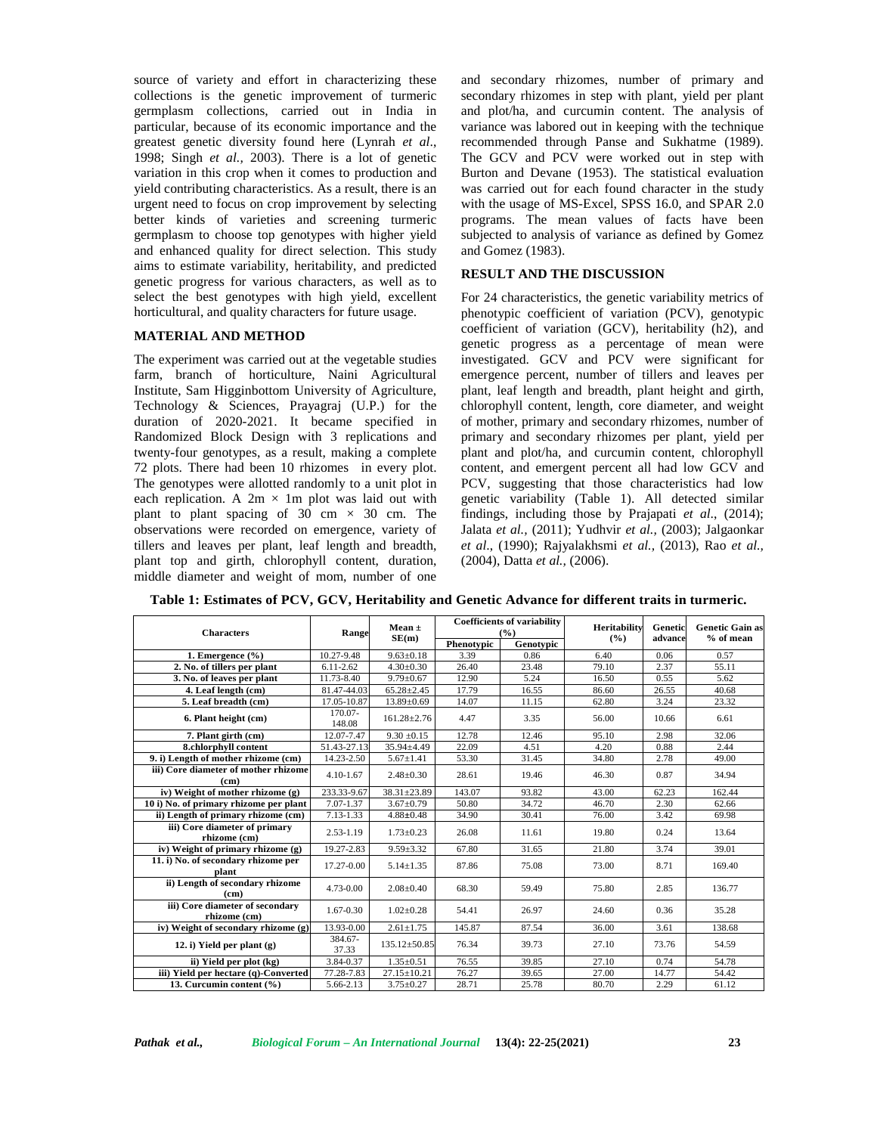source of variety and effort in characterizing these collections is the genetic improvement of turmeric germplasm collections, carried out in India in particular, because of its economic importance and the greatest genetic diversity found here (Lynrah *et al*., 1998; Singh *et al.,* 2003). There is a lot of genetic variation in this crop when it comes to production and yield contributing characteristics. As a result, there is an urgent need to focus on crop improvement by selecting better kinds of varieties and screening turmeric germplasm to choose top genotypes with higher yield and enhanced quality for direct selection. This study aims to estimate variability, heritability, and predicted genetic progress for various characters, as well as to select the best genotypes with high yield, excellent horticultural, and quality characters for future usage.

### **MATERIAL AND METHOD**

The experiment was carried out at the vegetable studies farm, branch of horticulture, Naini Agricultural Institute, Sam Higginbottom University of Agriculture, Technology & Sciences, Prayagraj (U.P.) for the duration of 2020-2021. It became specified in Randomized Block Design with 3 replications and twenty-four genotypes, as a result, making a complete 72 plots. There had been 10 rhizomes in every plot. The genotypes were allotted randomly to a unit plot in each replication. A  $2m \times 1m$  plot was laid out with plant to plant spacing of  $30 \text{ cm} \times 30 \text{ cm}$ . The observations were recorded on emergence, variety of tillers and leaves per plant, leaf length and breadth, plant top and girth, chlorophyll content, duration, middle diameter and weight of mom, number of one

and secondary rhizomes, number of primary and secondary rhizomes in step with plant, yield per plant and plot/ha, and curcumin content. The analysis of variance was labored out in keeping with the technique recommended through Panse and Sukhatme (1989). The GCV and PCV were worked out in step with Burton and Devane (1953). The statistical evaluation was carried out for each found character in the study with the usage of MS-Excel, SPSS 16.0, and SPAR 2.0 programs. The mean values of facts have been subjected to analysis of variance as defined by Gomez and Gomez (1983).

## **RESULT AND THE DISCUSSION**

For 24 characteristics, the genetic variability metrics of phenotypic coefficient of variation (PCV), genotypic coefficient of variation (GCV), heritability (h2), and genetic progress as a percentage of mean were investigated. GCV and PCV were significant for emergence percent, number of tillers and leaves per plant, leaf length and breadth, plant height and girth, chlorophyll content, length, core diameter, and weight of mother, primary and secondary rhizomes, number of primary and secondary rhizomes per plant, yield per plant and plot/ha, and curcumin content, chlorophyll content, and emergent percent all had low GCV and PCV, suggesting that those characteristics had low genetic variability (Table 1). All detected similar findings, including those by Prajapati *et al*., (2014); Jalata *et al.,* (2011); Yudhvir *et al.,* (2003); Jalgaonkar *et al*., (1990); Rajyalakhsmi *et al.,* (2013), Rao *et al.,* (2004), Datta *et al.,* (2006).

| <b>Characters</b>                                         | Rangel            | Mean $\pm$<br>SE(m) | <b>Coefficients of variability</b><br>(%) |           | Heritability | <b>Genetic</b> | <b>Genetic Gain as</b> |
|-----------------------------------------------------------|-------------------|---------------------|-------------------------------------------|-----------|--------------|----------------|------------------------|
|                                                           |                   |                     | Phenotypic                                | Genotypic | $($ %)       | advance        | $%$ of mean            |
| 1. Emergence $(\% )$                                      | 10.27-9.48        | $9.63 \pm 0.18$     | 3.39                                      | 0.86      | 6.40         | 0.06           | 0.57                   |
| 2. No. of tillers per plant                               | $6.11 - 2.62$     | $4.30 \pm 0.30$     | 26.40                                     | 23.48     | 79.10        | 2.37           | 55.11                  |
| 3. No. of leaves per plant                                | 11.73-8.40        | $9.79 \pm 0.67$     | 12.90                                     | 5.24      | 16.50        | 0.55           | 5.62                   |
| 4. Leaf length (cm)                                       | 81.47-44.03       | $65.28 \pm 2.45$    | 17.79                                     | 16.55     | 86.60        | 26.55          | 40.68                  |
| 5. Leaf breadth (cm)                                      | 17.05-10.87       | 13.89±0.69          | 14.07                                     | 11.15     | 62.80        | 3.24           | 23.32                  |
| 6. Plant height (cm)                                      | 170.07-<br>148.08 | $161.28 \pm 2.76$   | 4.47                                      | 3.35      | 56.00        | 10.66          | 6.61                   |
| 7. Plant girth (cm)                                       | 12.07-7.47        | $9.30 \pm 0.15$     | 12.78                                     | 12.46     | 95.10        | 2.98           | 32.06                  |
| 8.chlorphyll content                                      | 51.43-27.13       | 35.94±4.49          | 22.09                                     | 4.51      | 4.20         | 0.88           | 2.44                   |
| 9. i) Length of mother rhizome (cm)                       | 14.23-2.50        | $5.67 \pm 1.41$     | 53.30                                     | 31.45     | 34.80        | 2.78           | 49.00                  |
| iii) Core diameter of mother rhizome<br>(c <sub>m</sub> ) | $4.10 - 1.67$     | $2.48 \pm 0.30$     | 28.61                                     | 19.46     | 46.30        | 0.87           | 34.94                  |
| iv) Weight of mother rhizome (g)                          | 233.33-9.67       | $38.31 \pm 23.89$   | 143.07                                    | 93.82     | 43.00        | 62.23          | 162.44                 |
| 10 i) No. of primary rhizome per plant                    | 7.07-1.37         | $3.67 \pm 0.79$     | 50.80                                     | 34.72     | 46.70        | 2.30           | 62.66                  |
| ii) Length of primary rhizome (cm)                        | $7.13 - 1.33$     | $4.88 \pm 0.48$     | 34.90                                     | 30.41     | 76.00        | 3.42           | 69.98                  |
| iii) Core diameter of primary<br>rhizome (cm)             | 2.53-1.19         | $1.73 \pm 0.23$     | 26.08                                     | 11.61     | 19.80        | 0.24           | 13.64                  |
| iv) Weight of primary rhizome (g)                         | 19.27-2.83        | $9.59 \pm 3.32$     | 67.80                                     | 31.65     | 21.80        | 3.74           | 39.01                  |
| 11. i) No. of secondary rhizome per<br>plant              | 17.27-0.00        | $5.14 \pm 1.35$     | 87.86                                     | 75.08     | 73.00        | 8.71           | 169.40                 |
| ii) Length of secondary rhizome<br>(c <sub>m</sub> )      | 4.73-0.00         | $2.08 \pm 0.40$     | 68.30                                     | 59.49     | 75.80        | 2.85           | 136.77                 |
| iii) Core diameter of secondary<br>rhizome (cm)           | 1.67-0.30         | $1.02 \pm 0.28$     | 54.41                                     | 26.97     | 24.60        | 0.36           | 35.28                  |
| iv) Weight of secondary rhizome (g)                       | 13.93-0.00        | $2.61 \pm 1.75$     | 145.87                                    | 87.54     | 36.00        | 3.61           | 138.68                 |
| 12. i) Yield per plant $(g)$                              | 384.67-<br>37.33  | 135.12±50.85        | 76.34                                     | 39.73     | 27.10        | 73.76          | 54.59                  |
| ii) Yield per plot (kg)                                   | 3.84-0.37         | $1.35 \pm 0.51$     | 76.55                                     | 39.85     | 27.10        | 0.74           | 54.78                  |
| iii) Yield per hectare (q)-Converted                      | 77.28-7.83        | $27.15 \pm 10.21$   | 76.27                                     | 39.65     | 27.00        | 14.77          | 54.42                  |
| 13. Curcumin content (%)                                  | 5.66-2.13         | $3.75 \pm 0.27$     | 28.71                                     | 25.78     | 80.70        | 2.29           | 61.12                  |

**Table 1: Estimates of PCV, GCV, Heritability and Genetic Advance for different traits in turmeric.**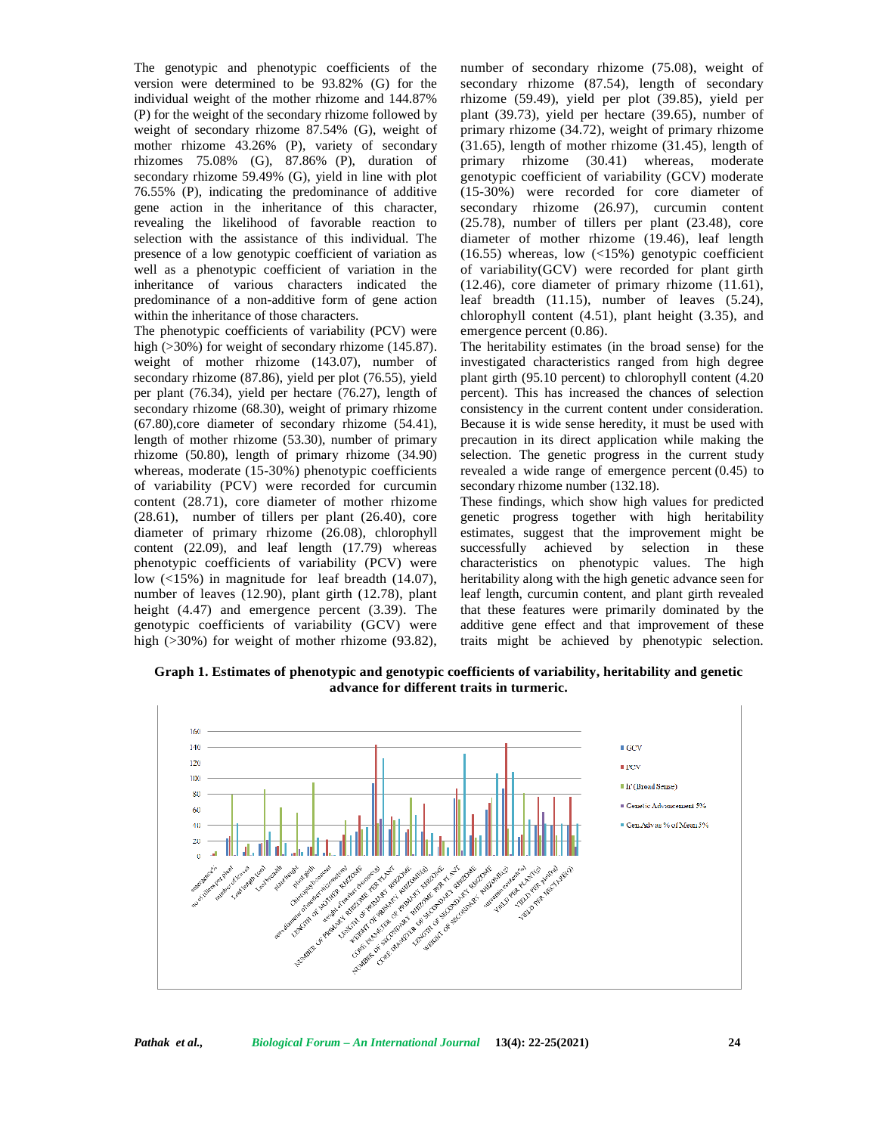The genotypic and phenotypic coefficients of the version were determined to be 93.82% (G) for the individual weight of the mother rhizome and 144.87% (P) for the weight of the secondary rhizome followed by weight of secondary rhizome 87.54% (G), weight of mother rhizome 43.26% (P), variety of secondary rhizomes 75.08% (G), 87.86% (P), duration of secondary rhizome 59.49% (G), yield in line with plot 76.55% (P), indicating the predominance of additive gene action in the inheritance of this character, revealing the likelihood of favorable reaction to selection with the assistance of this individual. The presence of a low genotypic coefficient of variation as well as a phenotypic coefficient of variation in the inheritance of various characters indicated the predominance of a non-additive form of gene action within the inheritance of those characters.

The phenotypic coefficients of variability (PCV) were high (>30%) for weight of secondary rhizome (145.87). weight of mother rhizome (143.07), number of secondary rhizome (87.86), yield per plot (76.55), yield per plant (76.34), yield per hectare (76.27), length of secondary rhizome (68.30), weight of primary rhizome (67.80),core diameter of secondary rhizome (54.41), length of mother rhizome (53.30), number of primary rhizome (50.80), length of primary rhizome (34.90) whereas, moderate (15-30%) phenotypic coefficients of variability (PCV) were recorded for curcumin content (28.71), core diameter of mother rhizome (28.61), number of tillers per plant (26.40), core diameter of primary rhizome (26.08), chlorophyll content (22.09), and leaf length (17.79) whereas phenotypic coefficients of variability (PCV) were low (<15%) in magnitude for leaf breadth (14.07), number of leaves (12.90), plant girth (12.78), plant height (4.47) and emergence percent (3.39). The genotypic coefficients of variability (GCV) were high (>30%) for weight of mother rhizome (93.82),

number of secondary rhizome (75.08), weight of secondary rhizome (87.54), length of secondary rhizome (59.49), yield per plot (39.85), yield per plant (39.73), yield per hectare (39.65), number of primary rhizome (34.72), weight of primary rhizome (31.65), length of mother rhizome (31.45), length of primary rhizome (30.41) whereas, moderate genotypic coefficient of variability (GCV) moderate (15-30%) were recorded for core diameter of secondary rhizome (26.97), curcumin content (25.78), number of tillers per plant (23.48), core diameter of mother rhizome (19.46), leaf length (16.55) whereas, low  $\left($ <15%) genotypic coefficient of variability(GCV) were recorded for plant girth (12.46), core diameter of primary rhizome (11.61), leaf breadth (11.15), number of leaves (5.24), chlorophyll content (4.51), plant height (3.35), and emergence percent (0.86).

The heritability estimates (in the broad sense) for the investigated characteristics ranged from high degree plant girth (95.10 percent) to chlorophyll content (4.20 percent). This has increased the chances of selection consistency in the current content under consideration. Because it is wide sense heredity, it must be used with precaution in its direct application while making the selection. The genetic progress in the current study revealed a wide range of emergence percent (0.45) to secondary rhizome number (132.18).

These findings, which show high values for predicted genetic progress together with high heritability estimates, suggest that the improvement might be successfully achieved by selection in these characteristics on phenotypic values. The high heritability along with the high genetic advance seen for leaf length, curcumin content, and plant girth revealed that these features were primarily dominated by the additive gene effect and that improvement of these traits might be achieved by phenotypic selection.

**Graph 1. Estimates of phenotypic and genotypic coefficients of variability, heritability and genetic advance for different traits in turmeric.**